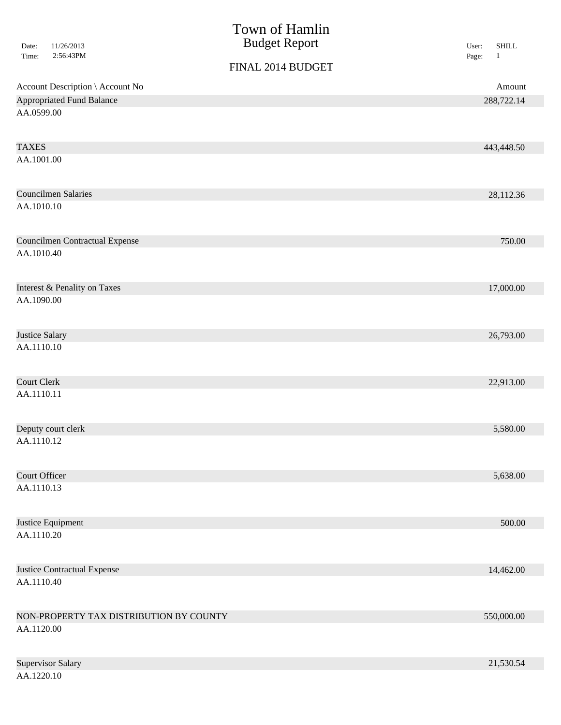| 11/26/2013<br>Date:<br>2:56:43PM<br>Time: | Town of Hamlin<br><b>Budget Report</b> | <b>SHILL</b><br>User:<br>$\mathbf{1}$<br>Page: |
|-------------------------------------------|----------------------------------------|------------------------------------------------|
|                                           | FINAL 2014 BUDGET                      |                                                |
| Account Description \ Account No          |                                        | Amount                                         |
| <b>Appropriated Fund Balance</b>          |                                        | 288,722.14                                     |
| AA.0599.00                                |                                        |                                                |
| <b>TAXES</b>                              |                                        | 443,448.50                                     |
| AA.1001.00                                |                                        |                                                |
| <b>Councilmen Salaries</b>                |                                        | 28,112.36                                      |
| AA.1010.10                                |                                        |                                                |
| <b>Councilmen Contractual Expense</b>     |                                        | 750.00                                         |
| AA.1010.40                                |                                        |                                                |
| Interest & Penality on Taxes              |                                        | 17,000.00                                      |
| AA.1090.00                                |                                        |                                                |
| Justice Salary                            |                                        | 26,793.00                                      |
| AA.1110.10                                |                                        |                                                |
| <b>Court Clerk</b>                        |                                        | 22,913.00                                      |
| AA.1110.11                                |                                        |                                                |
| Deputy court clerk                        |                                        | 5,580.00                                       |
| AA.1110.12                                |                                        |                                                |
| <b>Court Officer</b>                      |                                        | 5,638.00                                       |
| AA.1110.13                                |                                        |                                                |
| Justice Equipment                         |                                        | 500.00                                         |
| AA.1110.20                                |                                        |                                                |
| <b>Justice Contractual Expense</b>        |                                        | 14,462.00                                      |
| AA.1110.40                                |                                        |                                                |
| NON-PROPERTY TAX DISTRIBUTION BY COUNTY   |                                        | 550,000.00                                     |
| AA.1120.00                                |                                        |                                                |
| <b>Supervisor Salary</b>                  |                                        | 21,530.54                                      |
| AA.1220.10                                |                                        |                                                |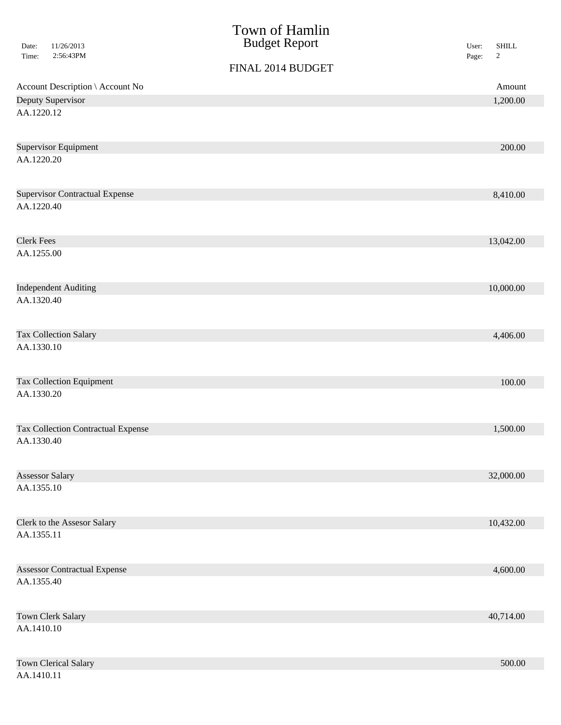| 11/26/2013<br>Date:<br>Time:<br>2:56:43PM | Town of Hamlin<br><b>Budget Report</b> | <b>SHILL</b><br>User:<br>$\overline{c}$<br>Page: |  |
|-------------------------------------------|----------------------------------------|--------------------------------------------------|--|
|                                           | FINAL 2014 BUDGET                      |                                                  |  |
| Account Description \ Account No          |                                        | Amount                                           |  |
| Deputy Supervisor                         |                                        | 1,200.00                                         |  |
| AA.1220.12                                |                                        |                                                  |  |
| <b>Supervisor Equipment</b>               |                                        | 200.00                                           |  |
| AA.1220.20                                |                                        |                                                  |  |
| <b>Supervisor Contractual Expense</b>     |                                        | 8,410.00                                         |  |
| AA.1220.40                                |                                        |                                                  |  |
| <b>Clerk Fees</b>                         |                                        | 13,042.00                                        |  |
| AA.1255.00                                |                                        |                                                  |  |
| <b>Independent Auditing</b>               |                                        | 10,000.00                                        |  |
| AA.1320.40                                |                                        |                                                  |  |
| Tax Collection Salary                     |                                        | 4,406.00                                         |  |
| AA.1330.10                                |                                        |                                                  |  |
| <b>Tax Collection Equipment</b>           |                                        | 100.00                                           |  |
| AA.1330.20                                |                                        |                                                  |  |
| <b>Tax Collection Contractual Expense</b> |                                        | 1,500.00                                         |  |
| AA.1330.40                                |                                        |                                                  |  |
| <b>Assessor Salary</b>                    |                                        | 32,000.00                                        |  |
| AA.1355.10                                |                                        |                                                  |  |
| Clerk to the Assesor Salary               |                                        | 10,432.00                                        |  |
| AA.1355.11                                |                                        |                                                  |  |
| <b>Assessor Contractual Expense</b>       |                                        | 4,600.00                                         |  |
| AA.1355.40                                |                                        |                                                  |  |
| Town Clerk Salary                         |                                        | 40,714.00                                        |  |
| AA.1410.10                                |                                        |                                                  |  |
| <b>Town Clerical Salary</b>               |                                        | 500.00                                           |  |
| AA.1410.11                                |                                        |                                                  |  |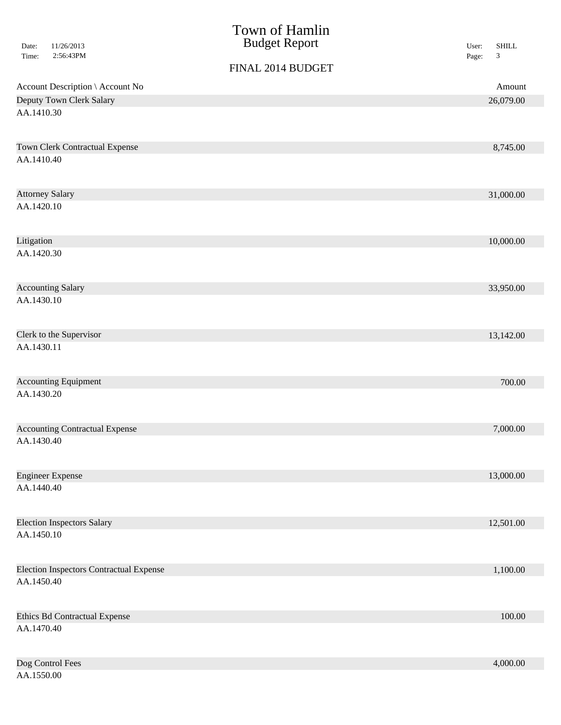|                                                | Town of Hamlin       |                                      |
|------------------------------------------------|----------------------|--------------------------------------|
| 11/26/2013<br>Date:                            | <b>Budget Report</b> | <b>SHILL</b><br>User:                |
| 2:56:43PM<br>Time:                             |                      | $\ensuremath{\mathfrak{Z}}$<br>Page: |
|                                                | FINAL 2014 BUDGET    |                                      |
| Account Description \ Account No               |                      | Amount                               |
| Deputy Town Clerk Salary                       |                      | 26,079.00                            |
| AA.1410.30                                     |                      |                                      |
| <b>Town Clerk Contractual Expense</b>          |                      | 8,745.00                             |
| AA.1410.40                                     |                      |                                      |
| <b>Attorney Salary</b>                         |                      | 31,000.00                            |
| AA.1420.10                                     |                      |                                      |
| Litigation                                     |                      | 10,000.00                            |
| AA.1420.30                                     |                      |                                      |
| <b>Accounting Salary</b>                       |                      | 33,950.00                            |
| AA.1430.10                                     |                      |                                      |
| Clerk to the Supervisor                        |                      | 13,142.00                            |
| AA.1430.11                                     |                      |                                      |
| <b>Accounting Equipment</b>                    |                      | 700.00                               |
| AA.1430.20                                     |                      |                                      |
| <b>Accounting Contractual Expense</b>          |                      | 7,000.00                             |
| AA.1430.40                                     |                      |                                      |
| <b>Engineer Expense</b>                        |                      | 13,000.00                            |
| AA.1440.40                                     |                      |                                      |
| <b>Election Inspectors Salary</b>              |                      | 12,501.00                            |
| AA.1450.10                                     |                      |                                      |
| <b>Election Inspectors Contractual Expense</b> |                      | 1,100.00                             |
| AA.1450.40                                     |                      |                                      |
| <b>Ethics Bd Contractual Expense</b>           |                      | $100.00\,$                           |
| AA.1470.40                                     |                      |                                      |
| Dog Control Fees                               |                      | 4,000.00                             |
| AA.1550.00                                     |                      |                                      |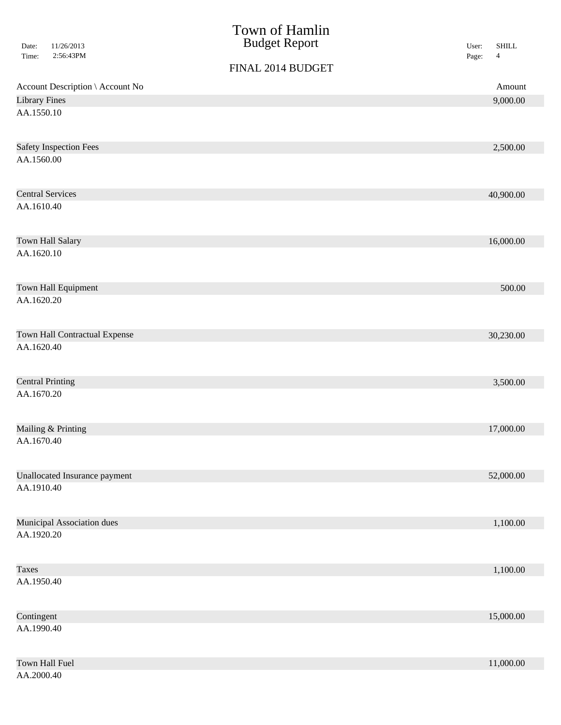| Date:        | 11/26/2013                       | Town of Hamlin<br><b>Budget Report</b> | User: | <b>SHILL</b>   |
|--------------|----------------------------------|----------------------------------------|-------|----------------|
| Time:        | 2:56:43PM                        | FINAL 2014 BUDGET                      | Page: | $\overline{4}$ |
|              | Account Description \ Account No |                                        |       | Amount         |
|              | <b>Library Fines</b>             |                                        |       | 9,000.00       |
| AA.1550.10   |                                  |                                        |       |                |
|              | <b>Safety Inspection Fees</b>    |                                        |       | 2,500.00       |
| AA.1560.00   |                                  |                                        |       |                |
|              | <b>Central Services</b>          |                                        |       | 40,900.00      |
| AA.1610.40   |                                  |                                        |       |                |
|              | Town Hall Salary                 |                                        |       | 16,000.00      |
| AA.1620.10   |                                  |                                        |       |                |
|              | Town Hall Equipment              |                                        |       | 500.00         |
| AA.1620.20   |                                  |                                        |       |                |
|              | Town Hall Contractual Expense    |                                        |       | 30,230.00      |
| AA.1620.40   |                                  |                                        |       |                |
|              | <b>Central Printing</b>          |                                        |       | 3,500.00       |
| AA.1670.20   |                                  |                                        |       |                |
|              | Mailing & Printing               |                                        |       | 17,000.00      |
| AA.1670.40   |                                  |                                        |       |                |
|              | Unallocated Insurance payment    |                                        |       | 52,000.00      |
| AA.1910.40   |                                  |                                        |       |                |
|              | Municipal Association dues       |                                        |       | 1,100.00       |
| AA.1920.20   |                                  |                                        |       |                |
| <b>Taxes</b> |                                  |                                        |       | 1,100.00       |
| AA.1950.40   |                                  |                                        |       |                |
| Contingent   |                                  |                                        |       | 15,000.00      |
| AA.1990.40   |                                  |                                        |       |                |
|              | Town Hall Fuel                   |                                        |       | 11,000.00      |
| AA.2000.40   |                                  |                                        |       |                |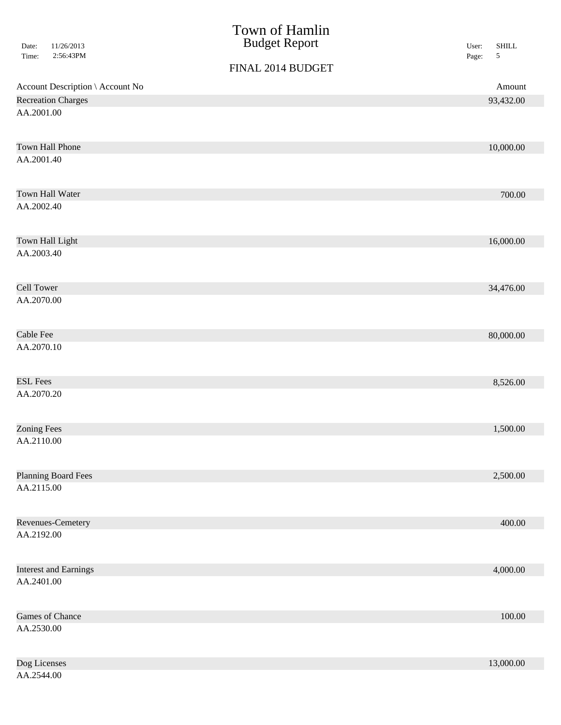| 11/26/2013                       | Town of Hamlin<br><b>Budget Report</b> | $\operatorname{SHILL}$       |
|----------------------------------|----------------------------------------|------------------------------|
| Date:<br>2:56:43PM<br>Time:      |                                        | User:<br>$\sqrt{5}$<br>Page: |
|                                  | FINAL 2014 BUDGET                      |                              |
| Account Description \ Account No |                                        | Amount                       |
| <b>Recreation Charges</b>        |                                        | 93,432.00                    |
| AA.2001.00                       |                                        |                              |
| Town Hall Phone                  |                                        | 10,000.00                    |
| AA.2001.40                       |                                        |                              |
| Town Hall Water                  |                                        | 700.00                       |
| AA.2002.40                       |                                        |                              |
| Town Hall Light                  |                                        | 16,000.00                    |
| AA.2003.40                       |                                        |                              |
| <b>Cell Tower</b>                |                                        | 34,476.00                    |
| AA.2070.00                       |                                        |                              |
| Cable Fee                        |                                        | 80,000.00                    |
| AA.2070.10                       |                                        |                              |
| <b>ESL Fees</b>                  |                                        | 8,526.00                     |
| AA.2070.20                       |                                        |                              |
| <b>Zoning Fees</b>               |                                        | 1,500.00                     |
| AA.2110.00                       |                                        |                              |
| <b>Planning Board Fees</b>       |                                        | 2,500.00                     |
| AA.2115.00                       |                                        |                              |
| Revenues-Cemetery                |                                        | 400.00                       |
| AA.2192.00                       |                                        |                              |
| <b>Interest and Earnings</b>     |                                        | 4,000.00                     |
| AA.2401.00                       |                                        |                              |
| Games of Chance                  |                                        | $100.00\,$                   |
| AA.2530.00                       |                                        |                              |
| Dog Licenses                     |                                        | 13,000.00                    |
| AA.2544.00                       |                                        |                              |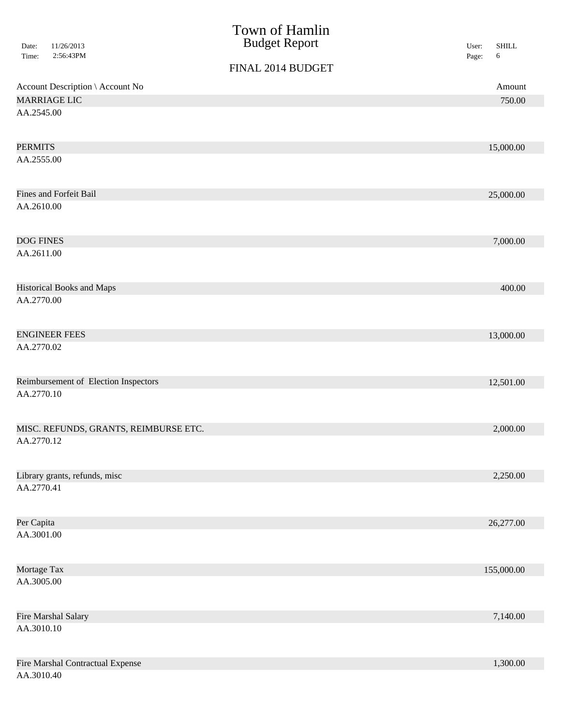|                  |                                       | Town of Hamlin       |       |              |
|------------------|---------------------------------------|----------------------|-------|--------------|
| Date:            | 11/26/2013                            | <b>Budget Report</b> | User: | <b>SHILL</b> |
| Time:            | 2:56:43PM                             | FINAL 2014 BUDGET    | Page: | 6            |
|                  |                                       |                      |       |              |
|                  | Account Description \ Account No      |                      |       | Amount       |
|                  | <b>MARRIAGE LIC</b>                   |                      |       | 750.00       |
| AA.2545.00       |                                       |                      |       |              |
| <b>PERMITS</b>   |                                       |                      |       | 15,000.00    |
| AA.2555.00       |                                       |                      |       |              |
|                  | <b>Fines and Forfeit Bail</b>         |                      |       | 25,000.00    |
| AA.2610.00       |                                       |                      |       |              |
| <b>DOG FINES</b> |                                       |                      |       | 7,000.00     |
| AA.2611.00       |                                       |                      |       |              |
|                  | <b>Historical Books and Maps</b>      |                      |       | 400.00       |
| AA.2770.00       |                                       |                      |       |              |
|                  | <b>ENGINEER FEES</b>                  |                      |       | 13,000.00    |
| AA.2770.02       |                                       |                      |       |              |
|                  | Reimbursement of Election Inspectors  |                      |       | 12,501.00    |
| AA.2770.10       |                                       |                      |       |              |
|                  | MISC. REFUNDS, GRANTS, REIMBURSE ETC. |                      |       | 2,000.00     |
| AA.2770.12       |                                       |                      |       |              |
|                  | Library grants, refunds, misc         |                      |       | 2,250.00     |
| AA.2770.41       |                                       |                      |       |              |
| Per Capita       |                                       |                      |       | 26,277.00    |
| AA.3001.00       |                                       |                      |       |              |
| Mortage Tax      |                                       |                      |       | 155,000.00   |
| AA.3005.00       |                                       |                      |       |              |
|                  | Fire Marshal Salary                   |                      |       | 7,140.00     |
| AA.3010.10       |                                       |                      |       |              |
|                  | Fire Marshal Contractual Expense      |                      |       | 1,300.00     |
| AA.3010.40       |                                       |                      |       |              |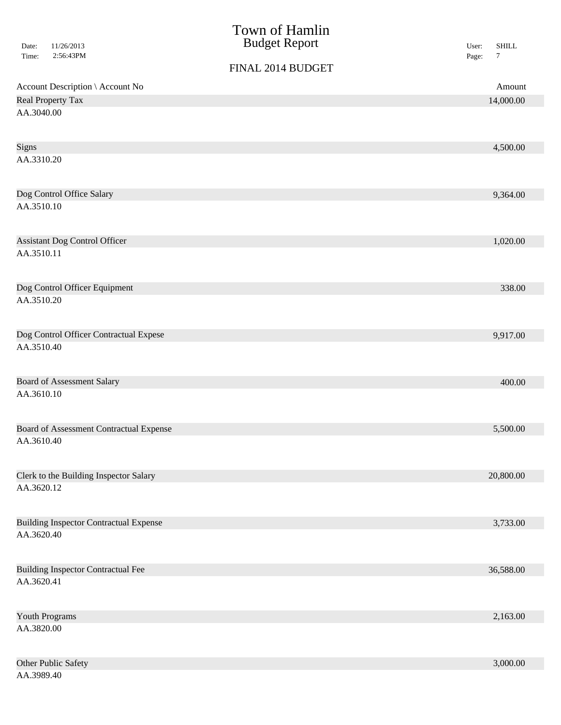| 11/26/2013<br>Date:<br>2:56:43PM<br>Time:      | Town of Hamlin<br><b>Budget Report</b> | <b>SHILL</b><br>User:<br>$\tau$<br>Page: |
|------------------------------------------------|----------------------------------------|------------------------------------------|
|                                                | FINAL 2014 BUDGET                      |                                          |
| Account Description \ Account No               |                                        | Amount                                   |
| Real Property Tax                              |                                        | 14,000.00                                |
| AA.3040.00                                     |                                        |                                          |
|                                                |                                        |                                          |
| Signs                                          |                                        | 4,500.00                                 |
| AA.3310.20                                     |                                        |                                          |
| Dog Control Office Salary                      |                                        | 9,364.00                                 |
| AA.3510.10                                     |                                        |                                          |
| <b>Assistant Dog Control Officer</b>           |                                        | 1,020.00                                 |
| AA.3510.11                                     |                                        |                                          |
| Dog Control Officer Equipment                  |                                        | 338.00                                   |
| AA.3510.20                                     |                                        |                                          |
| Dog Control Officer Contractual Expese         |                                        | 9,917.00                                 |
| AA.3510.40                                     |                                        |                                          |
| <b>Board of Assessment Salary</b>              |                                        | 400.00                                   |
| AA.3610.10                                     |                                        |                                          |
| <b>Board of Assessment Contractual Expense</b> |                                        | 5,500.00                                 |
| AA.3610.40                                     |                                        |                                          |
| Clerk to the Building Inspector Salary         |                                        | 20,800.00                                |
| AA.3620.12                                     |                                        |                                          |
| <b>Building Inspector Contractual Expense</b>  |                                        | 3,733.00                                 |
| AA.3620.40                                     |                                        |                                          |
| <b>Building Inspector Contractual Fee</b>      |                                        | 36,588.00                                |
| AA.3620.41                                     |                                        |                                          |
| Youth Programs                                 |                                        | 2,163.00                                 |
| AA.3820.00                                     |                                        |                                          |
| Other Public Safety                            |                                        | 3,000.00                                 |
| AA.3989.40                                     |                                        |                                          |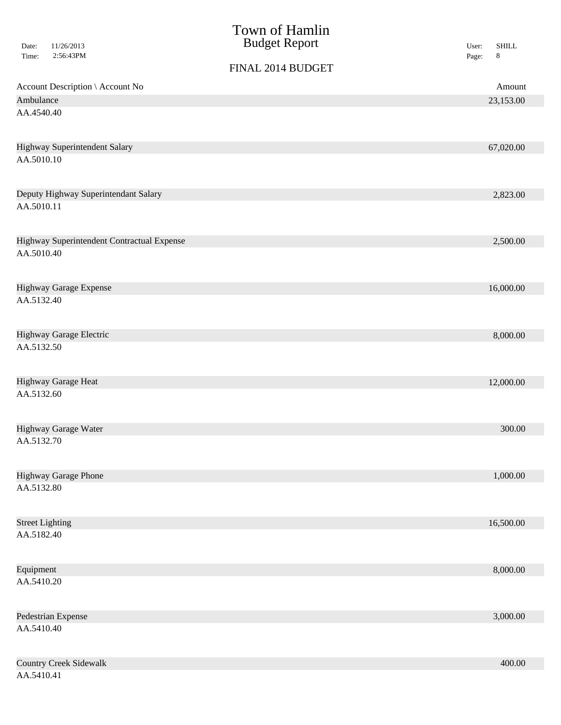| Date:<br>Time: | 11/26/2013<br>2:56:43PM                    | Town of Hamlin<br><b>Budget Report</b> | <b>SHILL</b><br>User:<br>$\,8\,$<br>Page: |
|----------------|--------------------------------------------|----------------------------------------|-------------------------------------------|
|                |                                            | FINAL 2014 BUDGET                      |                                           |
|                | Account Description \ Account No           |                                        | Amount                                    |
| Ambulance      |                                            |                                        | 23,153.00                                 |
| AA.4540.40     |                                            |                                        |                                           |
|                | Highway Superintendent Salary              |                                        | 67,020.00                                 |
| AA.5010.10     |                                            |                                        |                                           |
|                | Deputy Highway Superintendant Salary       |                                        | 2,823.00                                  |
| AA.5010.11     |                                            |                                        |                                           |
|                | Highway Superintendent Contractual Expense |                                        | 2,500.00                                  |
| AA.5010.40     |                                            |                                        |                                           |
|                | Highway Garage Expense                     |                                        | 16,000.00                                 |
| AA.5132.40     |                                            |                                        |                                           |
| AA.5132.50     | Highway Garage Electric                    |                                        | 8,000.00                                  |
|                |                                            |                                        |                                           |
| AA.5132.60     | Highway Garage Heat                        |                                        | 12,000.00                                 |
|                |                                            |                                        |                                           |
|                | Highway Garage Water                       |                                        | 300.00                                    |
| AA.5132.70     |                                            |                                        |                                           |
|                | <b>Highway Garage Phone</b>                |                                        | 1,000.00                                  |
| AA.5132.80     |                                            |                                        |                                           |
|                | <b>Street Lighting</b>                     |                                        | 16,500.00                                 |
| AA.5182.40     |                                            |                                        |                                           |
| Equipment      |                                            |                                        | 8,000.00                                  |
| AA.5410.20     |                                            |                                        |                                           |
|                | Pedestrian Expense                         |                                        | 3,000.00                                  |
| AA.5410.40     |                                            |                                        |                                           |
|                | <b>Country Creek Sidewalk</b>              |                                        | 400.00                                    |

AA.5410.41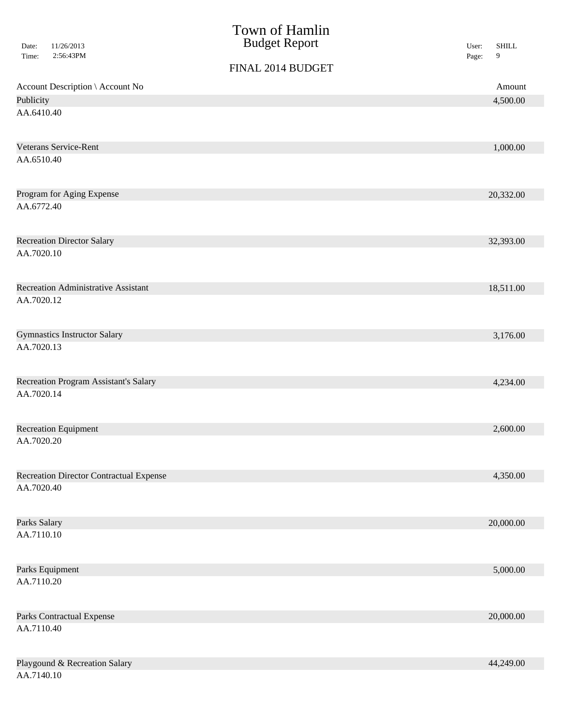|                         |                                                | Town of Hamlin       |       |              |
|-------------------------|------------------------------------------------|----------------------|-------|--------------|
| Date:                   | 11/26/2013                                     | <b>Budget Report</b> | User: | <b>SHILL</b> |
| Time:                   | 2:56:43PM                                      | FINAL 2014 BUDGET    | Page: | 9            |
|                         |                                                |                      |       |              |
|                         | Account Description \ Account No               |                      |       | Amount       |
| Publicity<br>AA.6410.40 |                                                |                      |       | 4,500.00     |
|                         |                                                |                      |       |              |
|                         | Veterans Service-Rent                          |                      |       | 1,000.00     |
| AA.6510.40              |                                                |                      |       |              |
|                         | Program for Aging Expense                      |                      |       | 20,332.00    |
| AA.6772.40              |                                                |                      |       |              |
|                         | <b>Recreation Director Salary</b>              |                      |       | 32,393.00    |
| AA.7020.10              |                                                |                      |       |              |
|                         | Recreation Administrative Assistant            |                      |       | 18,511.00    |
| AA.7020.12              |                                                |                      |       |              |
|                         | <b>Gymnastics Instructor Salary</b>            |                      |       | 3,176.00     |
| AA.7020.13              |                                                |                      |       |              |
|                         | <b>Recreation Program Assistant's Salary</b>   |                      |       | 4,234.00     |
| AA.7020.14              |                                                |                      |       |              |
|                         | Recreation Equipment                           |                      |       | 2,600.00     |
| AA.7020.20              |                                                |                      |       |              |
|                         | <b>Recreation Director Contractual Expense</b> |                      |       | 4,350.00     |
| AA.7020.40              |                                                |                      |       |              |
| Parks Salary            |                                                |                      |       | 20,000.00    |
| AA.7110.10              |                                                |                      |       |              |
|                         | Parks Equipment                                |                      |       | 5,000.00     |
| AA.7110.20              |                                                |                      |       |              |
|                         | <b>Parks Contractual Expense</b>               |                      |       | 20,000.00    |
| AA.7110.40              |                                                |                      |       |              |
|                         | Playgound & Recreation Salary                  |                      |       | 44,249.00    |
| AA.7140.10              |                                                |                      |       |              |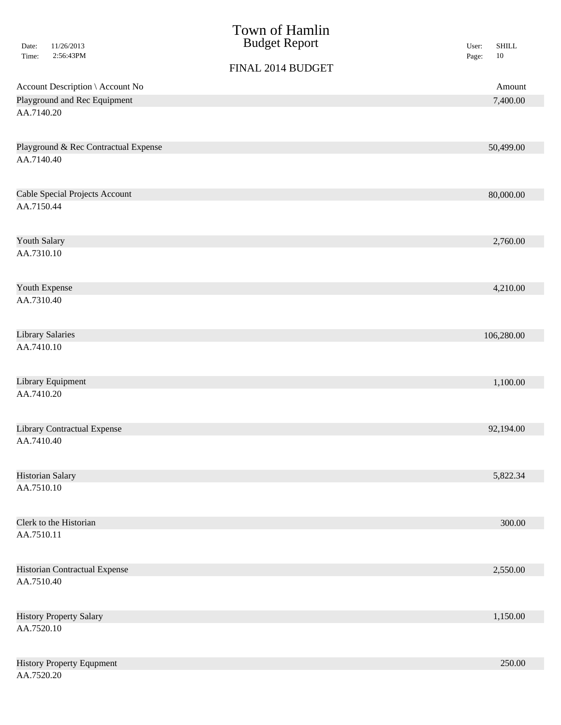| 11/26/2013<br>Date:<br>Time:<br>2:56:43PM          | Town of Hamlin<br><b>Budget Report</b> | <b>SHILL</b><br>User:<br>$10\,$<br>Page: |
|----------------------------------------------------|----------------------------------------|------------------------------------------|
|                                                    | FINAL 2014 BUDGET                      |                                          |
| Account Description \ Account No                   |                                        | Amount                                   |
| Playground and Rec Equipment                       |                                        | 7,400.00                                 |
| AA.7140.20                                         |                                        |                                          |
| Playground & Rec Contractual Expense<br>AA.7140.40 |                                        | 50,499.00                                |
| Cable Special Projects Account                     |                                        | 80,000.00                                |
| AA.7150.44                                         |                                        |                                          |
| Youth Salary                                       |                                        | 2,760.00                                 |
| AA.7310.10                                         |                                        |                                          |
| Youth Expense                                      |                                        | 4,210.00                                 |
| AA.7310.40                                         |                                        |                                          |
| <b>Library Salaries</b>                            |                                        | 106,280.00                               |
| AA.7410.10                                         |                                        |                                          |
| Library Equipment                                  |                                        | 1,100.00                                 |
| AA.7410.20                                         |                                        |                                          |
| <b>Library Contractual Expense</b>                 |                                        | 92,194.00                                |
| AA.7410.40                                         |                                        |                                          |
| Historian Salary                                   |                                        | 5,822.34                                 |
| AA.7510.10                                         |                                        |                                          |
| Clerk to the Historian                             |                                        | 300.00                                   |
| AA.7510.11                                         |                                        |                                          |
| Historian Contractual Expense                      |                                        | 2,550.00                                 |
| AA.7510.40                                         |                                        |                                          |
| <b>History Property Salary</b>                     |                                        | 1,150.00                                 |
| AA.7520.10                                         |                                        |                                          |
| <b>History Property Equpment</b><br>AA.7520.20     |                                        | 250.00                                   |
|                                                    |                                        |                                          |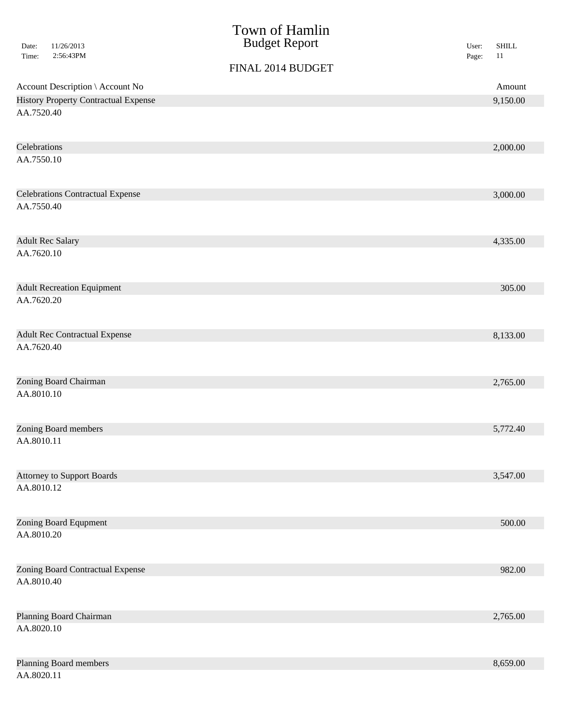|                                                 | Town of Hamlin<br><b>Budget Report</b> |                |                    |
|-------------------------------------------------|----------------------------------------|----------------|--------------------|
| 11/26/2013<br>Date:<br>2:56:43PM<br>Time:       |                                        | User:<br>Page: | <b>SHILL</b><br>11 |
|                                                 | FINAL 2014 BUDGET                      |                |                    |
| Account Description \ Account No                |                                        |                | Amount             |
| <b>History Property Contractual Expense</b>     |                                        |                | 9,150.00           |
| AA.7520.40                                      |                                        |                |                    |
|                                                 |                                        |                |                    |
| Celebrations<br>AA.7550.10                      |                                        |                | 2,000.00           |
|                                                 |                                        |                |                    |
| <b>Celebrations Contractual Expense</b>         |                                        |                | 3,000.00           |
| AA.7550.40                                      |                                        |                |                    |
|                                                 |                                        |                |                    |
| <b>Adult Rec Salary</b>                         |                                        |                | 4,335.00           |
| AA.7620.10                                      |                                        |                |                    |
| <b>Adult Recreation Equipment</b>               |                                        |                | 305.00             |
| AA.7620.20                                      |                                        |                |                    |
|                                                 |                                        |                |                    |
| <b>Adult Rec Contractual Expense</b>            |                                        |                | 8,133.00           |
| AA.7620.40                                      |                                        |                |                    |
| Zoning Board Chairman                           |                                        |                | 2,765.00           |
| AA.8010.10                                      |                                        |                |                    |
|                                                 |                                        |                |                    |
| Zoning Board members                            |                                        |                | 5,772.40           |
| AA.8010.11                                      |                                        |                |                    |
|                                                 |                                        |                |                    |
| <b>Attorney to Support Boards</b><br>AA.8010.12 |                                        |                | 3,547.00           |
|                                                 |                                        |                |                    |
| Zoning Board Equpment                           |                                        |                | 500.00             |
| AA.8010.20                                      |                                        |                |                    |
|                                                 |                                        |                |                    |
| Zoning Board Contractual Expense<br>AA.8010.40  |                                        |                | 982.00             |
|                                                 |                                        |                |                    |
| Planning Board Chairman                         |                                        |                | 2,765.00           |
| AA.8020.10                                      |                                        |                |                    |
|                                                 |                                        |                |                    |
| Planning Board members<br>AA.8020.11            |                                        |                | 8,659.00           |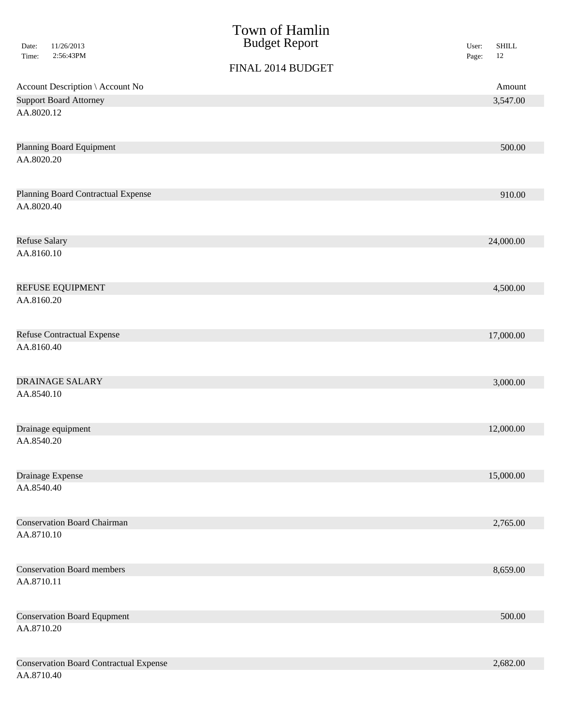|                                                             | Town of Hamlin       |       |                        |
|-------------------------------------------------------------|----------------------|-------|------------------------|
| 11/26/2013<br>Date:<br>2:56:43PM<br>Time:                   | <b>Budget Report</b> | User: | <b>SHILL</b><br>$12\,$ |
|                                                             | FINAL 2014 BUDGET    | Page: |                        |
| Account Description \ Account No                            |                      |       | Amount                 |
| <b>Support Board Attorney</b>                               |                      |       | 3,547.00               |
| AA.8020.12                                                  |                      |       |                        |
| <b>Planning Board Equipment</b>                             |                      |       | 500.00                 |
| AA.8020.20                                                  |                      |       |                        |
| Planning Board Contractual Expense                          |                      |       | 910.00                 |
| AA.8020.40                                                  |                      |       |                        |
| <b>Refuse Salary</b>                                        |                      |       | 24,000.00              |
| AA.8160.10                                                  |                      |       |                        |
| <b>REFUSE EQUIPMENT</b>                                     |                      |       | 4,500.00               |
| AA.8160.20                                                  |                      |       |                        |
| <b>Refuse Contractual Expense</b>                           |                      |       | 17,000.00              |
| AA.8160.40                                                  |                      |       |                        |
| <b>DRAINAGE SALARY</b>                                      |                      |       | 3,000.00               |
| AA.8540.10                                                  |                      |       |                        |
| Drainage equipment                                          |                      |       | 12,000.00              |
| AA.8540.20                                                  |                      |       |                        |
| Drainage Expense                                            |                      |       | 15,000.00              |
| AA.8540.40                                                  |                      |       |                        |
| <b>Conservation Board Chairman</b>                          |                      |       | 2,765.00               |
| AA.8710.10                                                  |                      |       |                        |
| <b>Conservation Board members</b>                           |                      |       | 8,659.00               |
| AA.8710.11                                                  |                      |       |                        |
| <b>Conservation Board Equpment</b>                          |                      |       | 500.00                 |
| AA.8710.20                                                  |                      |       |                        |
| <b>Conservation Board Contractual Expense</b><br>AA.8710.40 |                      |       | 2,682.00               |
|                                                             |                      |       |                        |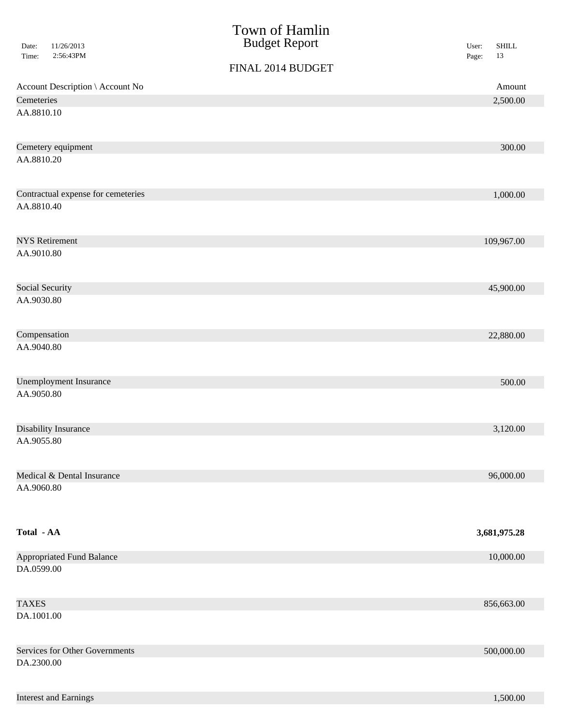| Date:<br>Time:  | 11/26/2013<br>2:56:43PM            | Town of Hamlin<br><b>Budget Report</b><br>FINAL 2014 BUDGET | <b>SHILL</b><br>User:<br>13<br>Page: |
|-----------------|------------------------------------|-------------------------------------------------------------|--------------------------------------|
|                 | Account Description \ Account No   |                                                             | Amount                               |
| Cemeteries      |                                    |                                                             | 2,500.00                             |
| AA.8810.10      |                                    |                                                             |                                      |
|                 | Cemetery equipment                 |                                                             | 300.00                               |
| AA.8810.20      |                                    |                                                             |                                      |
|                 | Contractual expense for cemeteries |                                                             | 1,000.00                             |
| AA.8810.40      |                                    |                                                             |                                      |
|                 | <b>NYS Retirement</b>              |                                                             | 109,967.00                           |
| AA.9010.80      |                                    |                                                             |                                      |
| Social Security |                                    |                                                             | 45,900.00                            |
| AA.9030.80      |                                    |                                                             |                                      |
| Compensation    |                                    |                                                             | 22,880.00                            |
| AA.9040.80      |                                    |                                                             |                                      |
|                 | <b>Unemployment Insurance</b>      |                                                             | 500.00                               |
| AA.9050.80      |                                    |                                                             |                                      |
|                 | Disability Insurance               |                                                             | 3,120.00                             |
| AA.9055.80      |                                    |                                                             |                                      |
|                 | Medical & Dental Insurance         |                                                             | 96,000.00                            |
| AA.9060.80      |                                    |                                                             |                                      |
| Total - AA      |                                    |                                                             | 3,681,975.28                         |
|                 | <b>Appropriated Fund Balance</b>   |                                                             | 10,000.00                            |
| DA.0599.00      |                                    |                                                             |                                      |
| <b>TAXES</b>    |                                    |                                                             | 856,663.00                           |
| DA.1001.00      |                                    |                                                             |                                      |
|                 | Services for Other Governments     |                                                             | 500,000.00                           |
| DA.2300.00      |                                    |                                                             |                                      |

**Interest and Earnings** 1,500.00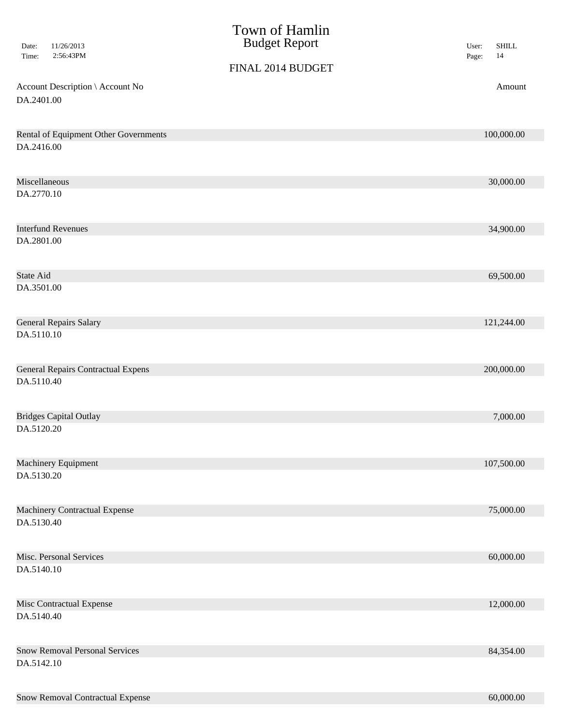| Date:<br>Time:   | 11/26/2013<br>2:56:43PM                   | Town of Hamlin<br><b>Budget Report</b><br>FINAL 2014 BUDGET | <b>SHILL</b><br>User:<br>14<br>Page: |
|------------------|-------------------------------------------|-------------------------------------------------------------|--------------------------------------|
|                  | Account Description \ Account No          |                                                             | Amount                               |
| DA.2401.00       |                                           |                                                             |                                      |
|                  |                                           |                                                             |                                      |
|                  | Rental of Equipment Other Governments     |                                                             | 100,000.00                           |
| DA.2416.00       |                                           |                                                             |                                      |
|                  | Miscellaneous                             |                                                             | 30,000.00                            |
| DA.2770.10       |                                           |                                                             |                                      |
|                  |                                           |                                                             |                                      |
|                  | <b>Interfund Revenues</b>                 |                                                             | 34,900.00                            |
| DA.2801.00       |                                           |                                                             |                                      |
|                  |                                           |                                                             |                                      |
| <b>State Aid</b> |                                           |                                                             | 69,500.00                            |
| DA.3501.00       |                                           |                                                             |                                      |
|                  |                                           |                                                             |                                      |
|                  | <b>General Repairs Salary</b>             |                                                             | 121,244.00                           |
| DA.5110.10       |                                           |                                                             |                                      |
|                  |                                           |                                                             |                                      |
|                  | <b>General Repairs Contractual Expens</b> |                                                             | 200,000.00                           |
| DA.5110.40       |                                           |                                                             |                                      |
|                  |                                           |                                                             |                                      |
|                  | <b>Bridges Capital Outlay</b>             |                                                             | 7,000.00                             |
| DA.5120.20       |                                           |                                                             |                                      |
|                  |                                           |                                                             |                                      |
| DA.5130.20       | Machinery Equipment                       |                                                             | 107,500.00                           |
|                  |                                           |                                                             |                                      |
|                  | <b>Machinery Contractual Expense</b>      |                                                             | 75,000.00                            |
| DA.5130.40       |                                           |                                                             |                                      |
|                  |                                           |                                                             |                                      |
|                  | Misc. Personal Services                   |                                                             | 60,000.00                            |
| DA.5140.10       |                                           |                                                             |                                      |
|                  |                                           |                                                             |                                      |
|                  | Misc Contractual Expense                  |                                                             | 12,000.00                            |
| DA.5140.40       |                                           |                                                             |                                      |
|                  |                                           |                                                             |                                      |
|                  | <b>Snow Removal Personal Services</b>     |                                                             | 84,354.00                            |
| DA.5142.10       |                                           |                                                             |                                      |
|                  |                                           |                                                             |                                      |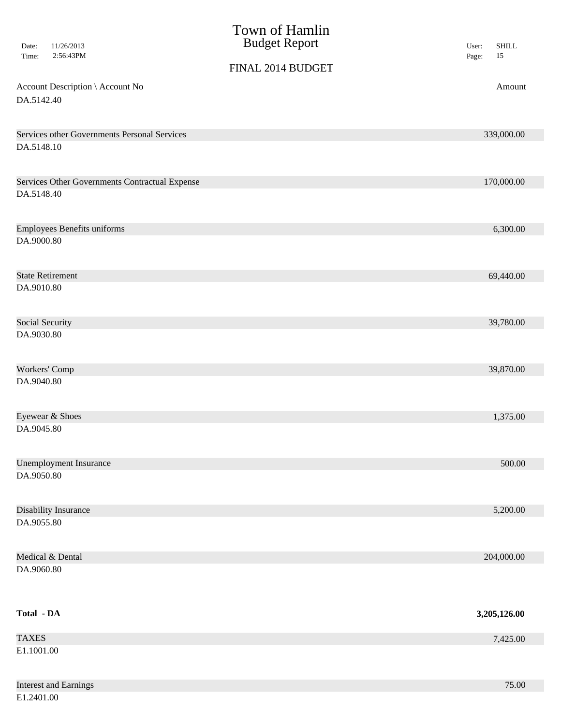| 11/26/2013<br>Date:<br>2:56:43PM<br>Time:      | Town of Hamlin<br><b>Budget Report</b><br>FINAL 2014 BUDGET | <b>SHILL</b><br>User:<br>$15\,$<br>Page: |
|------------------------------------------------|-------------------------------------------------------------|------------------------------------------|
| Account Description \ Account No<br>DA.5142.40 |                                                             | Amount                                   |
|                                                |                                                             |                                          |
| Services other Governments Personal Services   |                                                             | 339,000.00                               |
| DA.5148.10                                     |                                                             |                                          |
| Services Other Governments Contractual Expense |                                                             | 170,000.00                               |
| DA.5148.40                                     |                                                             |                                          |
| <b>Employees Benefits uniforms</b>             |                                                             | 6,300.00                                 |
| DA.9000.80                                     |                                                             |                                          |
| <b>State Retirement</b>                        |                                                             | 69,440.00                                |
| DA.9010.80                                     |                                                             |                                          |
| Social Security                                |                                                             | 39,780.00                                |
| DA.9030.80                                     |                                                             |                                          |
| Workers' Comp                                  |                                                             | 39,870.00                                |
| DA.9040.80                                     |                                                             |                                          |
| Eyewear & Shoes                                |                                                             | 1,375.00                                 |
| DA.9045.80                                     |                                                             |                                          |
| <b>Unemployment Insurance</b>                  |                                                             | 500.00                                   |
| DA.9050.80                                     |                                                             |                                          |
| <b>Disability Insurance</b>                    |                                                             | 5,200.00                                 |
| DA.9055.80                                     |                                                             |                                          |
| Medical & Dental                               |                                                             | 204,000.00                               |
| DA.9060.80                                     |                                                             |                                          |
| Total - DA                                     |                                                             | 3,205,126.00                             |
| <b>TAXES</b>                                   |                                                             | 7,425.00                                 |
| E1.1001.00                                     |                                                             |                                          |
| <b>Interest and Earnings</b>                   |                                                             | 75.00                                    |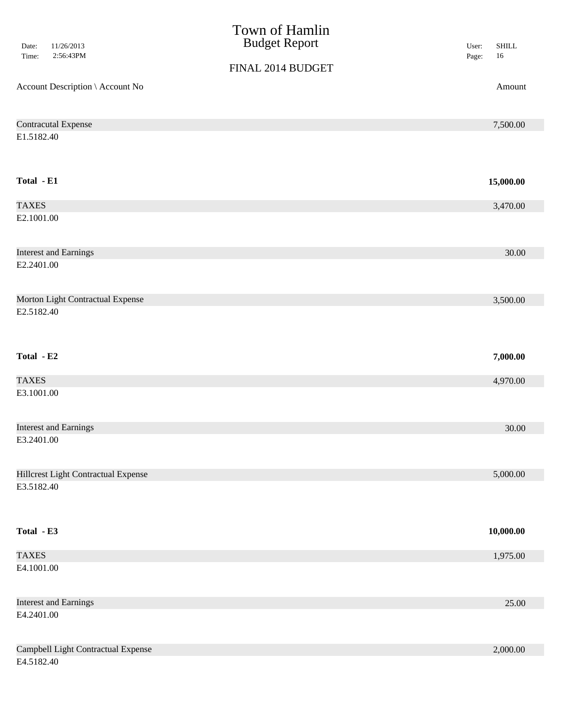| 11/26/2013<br>Date:<br>2:56:43PM<br>Time: | Town of Hamlin<br><b>Budget Report</b> | <b>SHILL</b><br>User:<br>$16\,$<br>Page: |
|-------------------------------------------|----------------------------------------|------------------------------------------|
|                                           | FINAL 2014 BUDGET                      |                                          |
| Account Description \ Account No          |                                        | Amount                                   |
| <b>Contracutal Expense</b>                |                                        | 7,500.00                                 |
| E1.5182.40                                |                                        |                                          |
| Total - E1                                |                                        | 15,000.00                                |
| <b>TAXES</b>                              |                                        | 3,470.00                                 |
| E2.1001.00                                |                                        |                                          |
| <b>Interest and Earnings</b>              |                                        | 30.00                                    |
| E2.2401.00                                |                                        |                                          |
| Morton Light Contractual Expense          |                                        | 3,500.00                                 |
| E2.5182.40                                |                                        |                                          |
| Total - E2                                |                                        | 7,000.00                                 |
| <b>TAXES</b>                              |                                        | 4,970.00                                 |
| E3.1001.00                                |                                        |                                          |
| <b>Interest and Earnings</b>              |                                        | 30.00                                    |
| E3.2401.00                                |                                        |                                          |
| Hillcrest Light Contractual Expense       |                                        | 5,000.00                                 |
| E3.5182.40                                |                                        |                                          |
| Total - E3                                |                                        | 10,000.00                                |
| <b>TAXES</b>                              |                                        | 1,975.00                                 |
| E4.1001.00                                |                                        |                                          |
|                                           |                                        |                                          |
| <b>Interest and Earnings</b>              |                                        | 25.00                                    |
| E4.2401.00                                |                                        |                                          |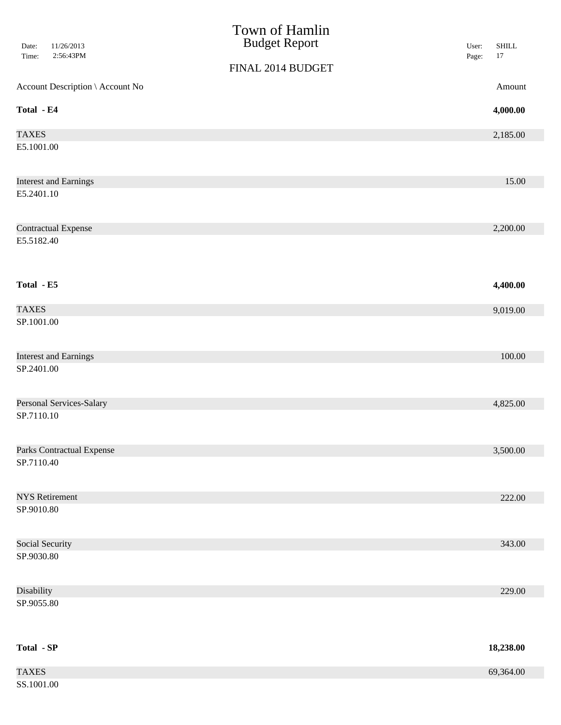| 11/26/2013<br>Date:<br>2:56:43PM<br>Time: | Town of Hamlin<br><b>Budget Report</b> | <b>SHILL</b><br>User:<br>$17\,$<br>Page: |
|-------------------------------------------|----------------------------------------|------------------------------------------|
|                                           | FINAL 2014 BUDGET                      |                                          |
| Account Description \ Account No          |                                        | Amount                                   |
| Total - E4                                |                                        | 4,000.00                                 |
| <b>TAXES</b>                              |                                        | 2,185.00                                 |
| E5.1001.00                                |                                        |                                          |
| <b>Interest and Earnings</b>              |                                        | 15.00                                    |
| E5.2401.10                                |                                        |                                          |
| <b>Contractual Expense</b>                |                                        | 2,200.00                                 |
| E5.5182.40                                |                                        |                                          |
| Total - E5                                |                                        | 4,400.00                                 |
| <b>TAXES</b>                              |                                        | 9,019.00                                 |
| SP.1001.00                                |                                        |                                          |
| <b>Interest and Earnings</b>              |                                        | 100.00                                   |
| SP.2401.00                                |                                        |                                          |
| Personal Services-Salary                  |                                        | 4,825.00                                 |
| SP.7110.10                                |                                        |                                          |
| <b>Parks Contractual Expense</b>          |                                        | 3,500.00                                 |
| SP.7110.40                                |                                        |                                          |
| <b>NYS Retirement</b>                     |                                        | 222.00                                   |
| SP.9010.80                                |                                        |                                          |
| Social Security                           |                                        | 343.00                                   |
| SP.9030.80                                |                                        |                                          |
| Disability                                |                                        | 229.00                                   |
| SP.9055.80                                |                                        |                                          |
| Total - SP                                |                                        | 18,238.00                                |
| <b>TAXES</b>                              |                                        | 69,364.00                                |
| SS.1001.00                                |                                        |                                          |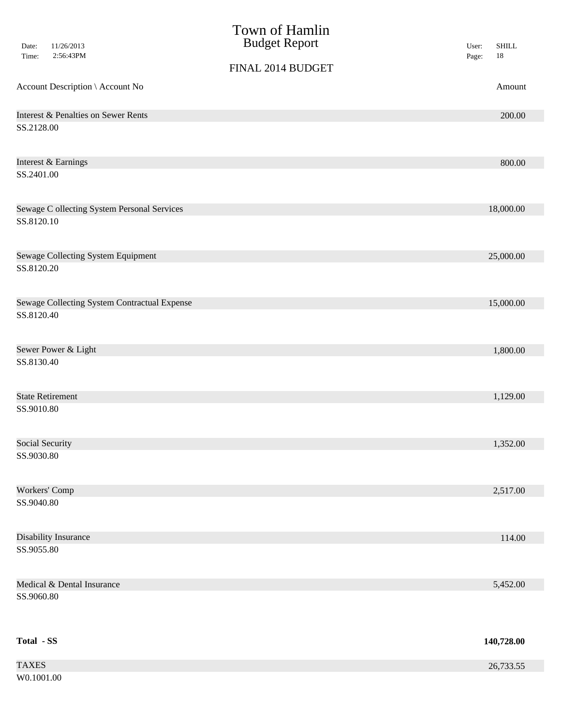| Date:<br>Time:    | 11/26/2013<br>2:56:43PM                      | Town of Hamlin<br><b>Budget Report</b> | <b>SHILL</b><br>User:<br>$18\,$<br>Page: |
|-------------------|----------------------------------------------|----------------------------------------|------------------------------------------|
|                   |                                              | FINAL 2014 BUDGET                      |                                          |
|                   | Account Description \ Account No             |                                        | Amount                                   |
|                   | Interest & Penalties on Sewer Rents          |                                        | 200.00                                   |
| SS.2128.00        |                                              |                                        |                                          |
|                   | Interest & Earnings                          |                                        | 800.00                                   |
| SS.2401.00        |                                              |                                        |                                          |
|                   | Sewage C ollecting System Personal Services  |                                        | 18,000.00                                |
| SS.8120.10        |                                              |                                        |                                          |
|                   | Sewage Collecting System Equipment           |                                        | 25,000.00                                |
| SS.8120.20        |                                              |                                        |                                          |
|                   | Sewage Collecting System Contractual Expense |                                        | 15,000.00                                |
| SS.8120.40        |                                              |                                        |                                          |
|                   | Sewer Power & Light                          |                                        | 1,800.00                                 |
| SS.8130.40        |                                              |                                        |                                          |
|                   | <b>State Retirement</b>                      |                                        | 1,129.00                                 |
| SS.9010.80        |                                              |                                        |                                          |
| Social Security   |                                              |                                        | 1,352.00                                 |
| SS.9030.80        |                                              |                                        |                                          |
| Workers' Comp     |                                              |                                        | 2,517.00                                 |
| SS.9040.80        |                                              |                                        |                                          |
|                   | Disability Insurance                         |                                        | 114.00                                   |
| SS.9055.80        |                                              |                                        |                                          |
|                   | Medical & Dental Insurance                   |                                        | 5,452.00                                 |
| SS.9060.80        |                                              |                                        |                                          |
| <b>Total - SS</b> |                                              |                                        | 140,728.00                               |
| <b>TAXES</b>      |                                              |                                        | 26,733.55                                |
| W0.1001.00        |                                              |                                        |                                          |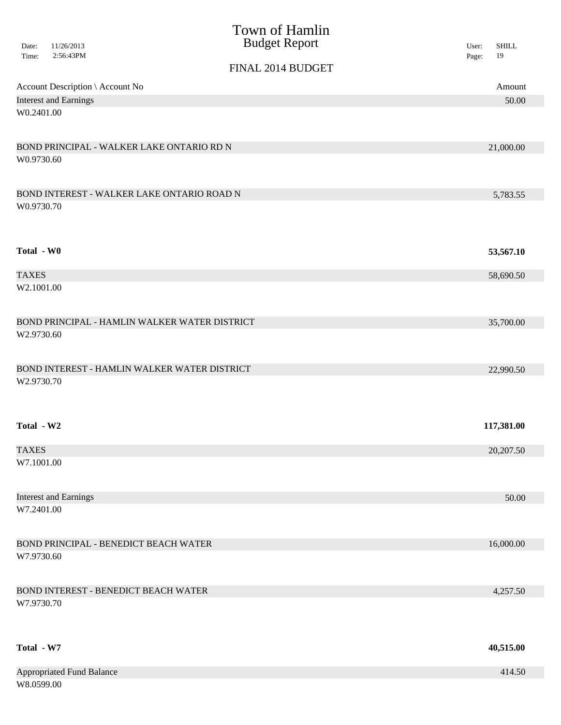|                |                                              | Town of Hamlin                                |                                      |
|----------------|----------------------------------------------|-----------------------------------------------|--------------------------------------|
| Date:<br>Time: | 11/26/2013<br>2:56:43PM                      | <b>Budget Report</b>                          | <b>SHILL</b><br>User:<br>19<br>Page: |
|                |                                              | FINAL 2014 BUDGET                             |                                      |
|                | Account Description \ Account No             |                                               | Amount                               |
|                | <b>Interest and Earnings</b>                 |                                               | 50.00                                |
| W0.2401.00     |                                              |                                               |                                      |
|                |                                              |                                               |                                      |
|                | BOND PRINCIPAL - WALKER LAKE ONTARIO RD N    |                                               | 21,000.00                            |
| W0.9730.60     |                                              |                                               |                                      |
|                |                                              |                                               |                                      |
|                | BOND INTEREST - WALKER LAKE ONTARIO ROAD N   |                                               | 5,783.55                             |
| W0.9730.70     |                                              |                                               |                                      |
|                |                                              |                                               |                                      |
|                |                                              |                                               |                                      |
| Total - W0     |                                              |                                               | 53,567.10                            |
| <b>TAXES</b>   |                                              |                                               | 58,690.50                            |
| W2.1001.00     |                                              |                                               |                                      |
|                |                                              |                                               |                                      |
|                |                                              | BOND PRINCIPAL - HAMLIN WALKER WATER DISTRICT | 35,700.00                            |
| W2.9730.60     |                                              |                                               |                                      |
|                |                                              |                                               |                                      |
|                |                                              | BOND INTEREST - HAMLIN WALKER WATER DISTRICT  | 22,990.50                            |
| W2.9730.70     |                                              |                                               |                                      |
|                |                                              |                                               |                                      |
|                |                                              |                                               |                                      |
| Total - W2     |                                              |                                               | 117,381.00                           |
| <b>TAXES</b>   |                                              |                                               | 20,207.50                            |
| W7.1001.00     |                                              |                                               |                                      |
|                |                                              |                                               |                                      |
|                | <b>Interest and Earnings</b>                 |                                               | 50.00                                |
| W7.2401.00     |                                              |                                               |                                      |
|                |                                              |                                               |                                      |
|                | <b>BOND PRINCIPAL - BENEDICT BEACH WATER</b> |                                               | 16,000.00                            |
| W7.9730.60     |                                              |                                               |                                      |
|                |                                              |                                               |                                      |
|                | <b>BOND INTEREST - BENEDICT BEACH WATER</b>  |                                               | 4,257.50                             |
| W7.9730.70     |                                              |                                               |                                      |
|                |                                              |                                               |                                      |
|                |                                              |                                               |                                      |
| Total - W7     |                                              |                                               | 40,515.00                            |
|                |                                              |                                               |                                      |
| W8.0599.00     | <b>Appropriated Fund Balance</b>             |                                               | 414.50                               |
|                |                                              |                                               |                                      |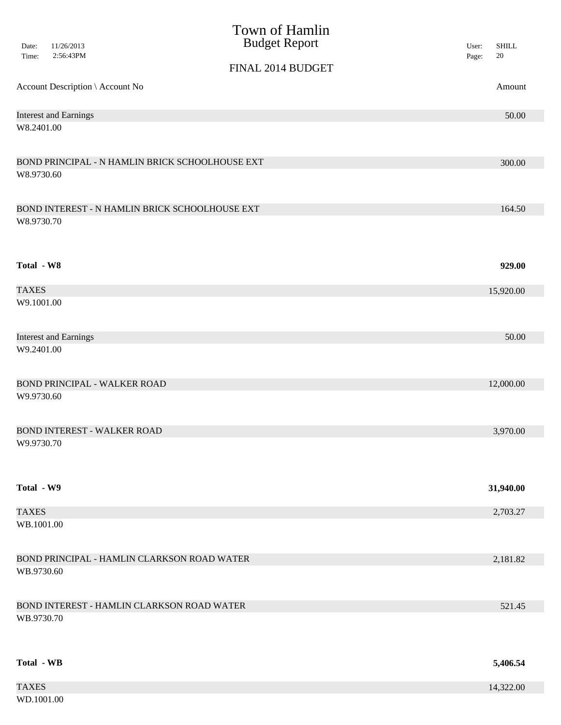| 11/26/2013<br>Date:<br>2:56:43PM                | Town of Hamlin<br><b>Budget Report</b> | <b>SHILL</b><br>User: |
|-------------------------------------------------|----------------------------------------|-----------------------|
| Time:                                           | FINAL 2014 BUDGET                      | 20<br>Page:           |
| Account Description \ Account No                |                                        | Amount                |
| <b>Interest and Earnings</b><br>W8.2401.00      |                                        | 50.00                 |
|                                                 |                                        |                       |
| BOND PRINCIPAL - N HAMLIN BRICK SCHOOLHOUSE EXT |                                        | 300.00                |
| W8.9730.60                                      |                                        |                       |
| BOND INTEREST - N HAMLIN BRICK SCHOOLHOUSE EXT  |                                        | 164.50                |
| W8.9730.70                                      |                                        |                       |
| Total - W8                                      |                                        | 929.00                |
| <b>TAXES</b>                                    |                                        | 15,920.00             |
| W9.1001.00                                      |                                        |                       |
| <b>Interest and Earnings</b>                    |                                        | 50.00                 |
| W9.2401.00                                      |                                        |                       |
| <b>BOND PRINCIPAL - WALKER ROAD</b>             |                                        | 12,000.00             |
| W9.9730.60                                      |                                        |                       |
| BOND INTEREST - WALKER ROAD                     |                                        | 3,970.00              |
| W9.9730.70                                      |                                        |                       |
| Total - W9                                      |                                        | 31,940.00             |
| <b>TAXES</b>                                    |                                        | 2,703.27              |
| WB.1001.00                                      |                                        |                       |
| BOND PRINCIPAL - HAMLIN CLARKSON ROAD WATER     |                                        | 2,181.82              |
| WB.9730.60                                      |                                        |                       |
| BOND INTEREST - HAMLIN CLARKSON ROAD WATER      |                                        | 521.45                |
| WB.9730.70                                      |                                        |                       |
| <b>Total - WB</b>                               |                                        | 5,406.54              |
| <b>TAXES</b>                                    |                                        | 14,322.00             |
| WD.1001.00                                      |                                        |                       |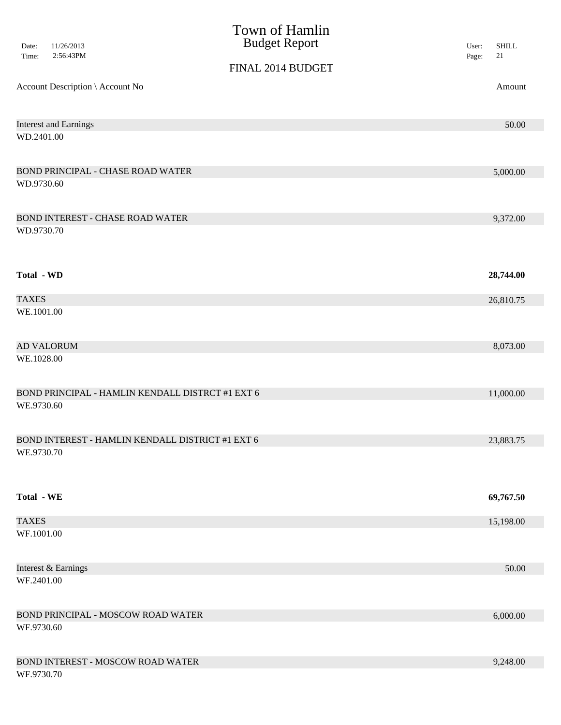|                   |                                                  | Town of Hamlin       |                |                        |
|-------------------|--------------------------------------------------|----------------------|----------------|------------------------|
| Date:<br>Time:    | 11/26/2013<br>2:56:43PM                          | <b>Budget Report</b> | User:<br>Page: | <b>SHILL</b><br>$21\,$ |
|                   |                                                  | FINAL 2014 BUDGET    |                |                        |
|                   | Account Description \ Account No                 |                      |                | Amount                 |
|                   | <b>Interest and Earnings</b>                     |                      |                | 50.00                  |
| WD.2401.00        |                                                  |                      |                |                        |
|                   | BOND PRINCIPAL - CHASE ROAD WATER                |                      |                | 5,000.00               |
| WD.9730.60        |                                                  |                      |                |                        |
|                   | <b>BOND INTEREST - CHASE ROAD WATER</b>          |                      |                | 9,372.00               |
| WD.9730.70        |                                                  |                      |                |                        |
| Total - WD        |                                                  |                      |                | 28,744.00              |
| <b>TAXES</b>      |                                                  |                      |                | 26,810.75              |
| WE.1001.00        |                                                  |                      |                |                        |
|                   | <b>AD VALORUM</b>                                |                      |                | 8,073.00               |
| WE.1028.00        |                                                  |                      |                |                        |
|                   | BOND PRINCIPAL - HAMLIN KENDALL DISTRCT #1 EXT 6 |                      |                | 11,000.00              |
| WE.9730.60        |                                                  |                      |                |                        |
|                   | BOND INTEREST - HAMLIN KENDALL DISTRICT #1 EXT 6 |                      |                | 23,883.75              |
| WE.9730.70        |                                                  |                      |                |                        |
| <b>Total - WE</b> |                                                  |                      |                | 69,767.50              |
| <b>TAXES</b>      |                                                  |                      |                | 15,198.00              |
| WF.1001.00        |                                                  |                      |                |                        |
|                   | Interest & Earnings                              |                      |                | 50.00                  |
| WF.2401.00        |                                                  |                      |                |                        |
|                   | BOND PRINCIPAL - MOSCOW ROAD WATER               |                      |                | 6,000.00               |
| WF.9730.60        |                                                  |                      |                |                        |
|                   | BOND INTEREST - MOSCOW ROAD WATER                |                      |                | 9,248.00               |
| WF.9730.70        |                                                  |                      |                |                        |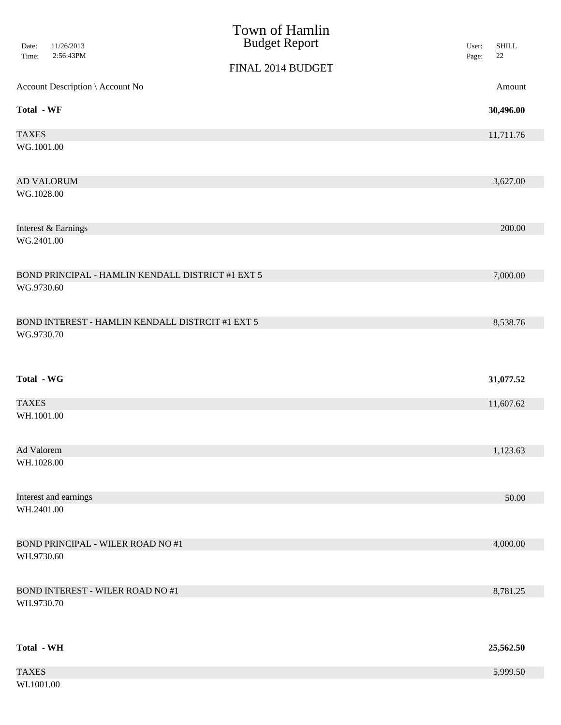|                                                   | Town of Hamlin<br><b>Budget Report</b> |                                          |
|---------------------------------------------------|----------------------------------------|------------------------------------------|
| 11/26/2013<br>Date:<br>2:56:43PM<br>Time:         |                                        | <b>SHILL</b><br>User:<br>$22\,$<br>Page: |
|                                                   | FINAL 2014 BUDGET                      |                                          |
| Account Description \ Account No                  |                                        | Amount                                   |
| <b>Total - WF</b>                                 |                                        | 30,496.00                                |
| <b>TAXES</b>                                      |                                        | 11,711.76                                |
| WG.1001.00                                        |                                        |                                          |
| <b>AD VALORUM</b>                                 |                                        | 3,627.00                                 |
| WG.1028.00                                        |                                        |                                          |
| Interest & Earnings                               |                                        | 200.00                                   |
| WG.2401.00                                        |                                        |                                          |
| BOND PRINCIPAL - HAMLIN KENDALL DISTRICT #1 EXT 5 |                                        | 7,000.00                                 |
| WG.9730.60                                        |                                        |                                          |
| BOND INTEREST - HAMLIN KENDALL DISTRCIT #1 EXT 5  |                                        | 8,538.76                                 |
| WG.9730.70                                        |                                        |                                          |
| <b>Total - WG</b>                                 |                                        | 31,077.52                                |
| <b>TAXES</b>                                      |                                        | 11,607.62                                |
| WH.1001.00                                        |                                        |                                          |
| Ad Valorem                                        |                                        | 1,123.63                                 |
| WH.1028.00                                        |                                        |                                          |
| Interest and earnings                             |                                        | 50.00                                    |
| WH.2401.00                                        |                                        |                                          |
| <b>BOND PRINCIPAL - WILER ROAD NO #1</b>          |                                        | 4,000.00                                 |
| WH.9730.60                                        |                                        |                                          |
| <b>BOND INTEREST - WILER ROAD NO #1</b>           |                                        | 8,781.25                                 |
| WH.9730.70                                        |                                        |                                          |
| <b>Total - WH</b>                                 |                                        | 25,562.50                                |
| <b>TAXES</b>                                      |                                        | 5,999.50                                 |
| WI.1001.00                                        |                                        |                                          |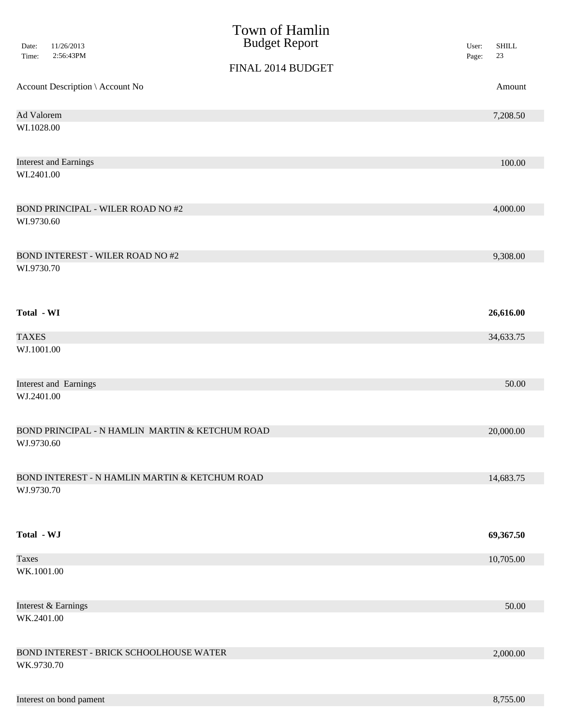| Date:<br>Time: | 11/26/2013<br>2:56:43PM                        | Town of Hamlin<br><b>Budget Report</b>          | <b>SHILL</b><br>User:<br>$23\,$<br>Page: |
|----------------|------------------------------------------------|-------------------------------------------------|------------------------------------------|
|                |                                                | FINAL 2014 BUDGET                               |                                          |
|                | Account Description \ Account No               |                                                 | Amount                                   |
| Ad Valorem     |                                                |                                                 | 7,208.50                                 |
| WI.1028.00     |                                                |                                                 |                                          |
|                | <b>Interest and Earnings</b>                   |                                                 | 100.00                                   |
| WI.2401.00     |                                                |                                                 |                                          |
|                | <b>BOND PRINCIPAL - WILER ROAD NO#2</b>        |                                                 | 4,000.00                                 |
| WI.9730.60     |                                                |                                                 |                                          |
|                | <b>BOND INTEREST - WILER ROAD NO#2</b>         |                                                 | 9,308.00                                 |
| WI.9730.70     |                                                |                                                 |                                          |
| Total - WI     |                                                |                                                 | 26,616.00                                |
| <b>TAXES</b>   |                                                |                                                 | 34,633.75                                |
| WJ.1001.00     |                                                |                                                 |                                          |
|                | <b>Interest and Earnings</b>                   |                                                 | 50.00                                    |
| WJ.2401.00     |                                                |                                                 |                                          |
|                |                                                | BOND PRINCIPAL - N HAMLIN MARTIN & KETCHUM ROAD | 20,000.00                                |
| WJ.9730.60     |                                                |                                                 |                                          |
|                | BOND INTEREST - N HAMLIN MARTIN & KETCHUM ROAD |                                                 | 14,683.75                                |
| WJ.9730.70     |                                                |                                                 |                                          |
| Total - WJ     |                                                |                                                 | 69,367.50                                |
| <b>Taxes</b>   |                                                |                                                 | 10,705.00                                |
| WK.1001.00     |                                                |                                                 |                                          |
|                | Interest & Earnings                            |                                                 | 50.00                                    |
| WK.2401.00     |                                                |                                                 |                                          |
|                | BOND INTEREST - BRICK SCHOOLHOUSE WATER        |                                                 | 2,000.00                                 |
| WK.9730.70     |                                                |                                                 |                                          |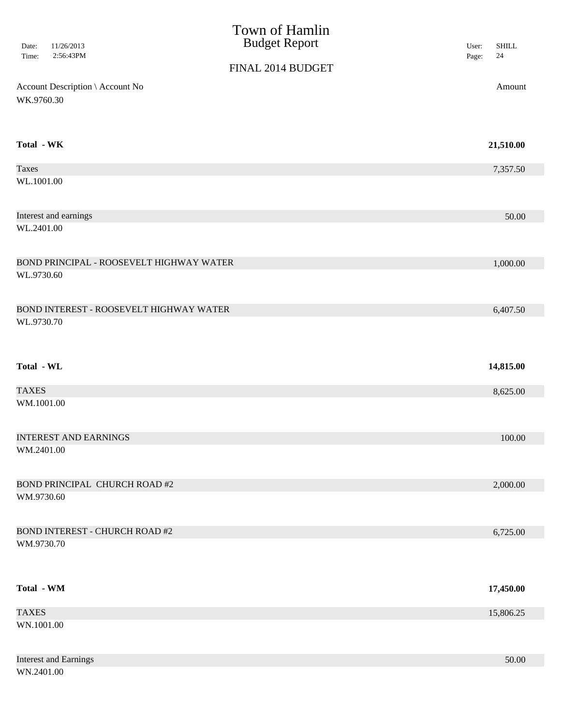| 11/26/2013<br>Date:<br>2:56:43PM<br>Time:      | Town of Hamlin<br><b>Budget Report</b> | <b>SHILL</b><br>User:<br>$24\,$<br>Page: |
|------------------------------------------------|----------------------------------------|------------------------------------------|
|                                                | FINAL 2014 BUDGET                      |                                          |
| Account Description \ Account No<br>WK.9760.30 |                                        | Amount                                   |
| Total - WK                                     |                                        | 21,510.00                                |
| <b>Taxes</b>                                   |                                        | 7,357.50                                 |
| WL.1001.00                                     |                                        |                                          |
| Interest and earnings                          |                                        | 50.00                                    |
| WL.2401.00                                     |                                        |                                          |
| BOND PRINCIPAL - ROOSEVELT HIGHWAY WATER       |                                        | 1,000.00                                 |
| WL.9730.60                                     |                                        |                                          |
| BOND INTEREST - ROOSEVELT HIGHWAY WATER        |                                        | 6,407.50                                 |
| WL.9730.70                                     |                                        |                                          |
| Total - WL                                     |                                        | 14,815.00                                |
| <b>TAXES</b>                                   |                                        | 8,625.00                                 |
| WM.1001.00                                     |                                        |                                          |
| <b>INTEREST AND EARNINGS</b>                   |                                        | 100.00                                   |
| WM.2401.00                                     |                                        |                                          |
| <b>BOND PRINCIPAL CHURCH ROAD #2</b>           |                                        | 2,000.00                                 |
| WM.9730.60                                     |                                        |                                          |
| <b>BOND INTEREST - CHURCH ROAD #2</b>          |                                        | 6,725.00                                 |
| WM.9730.70                                     |                                        |                                          |
| Total - WM                                     |                                        | 17,450.00                                |
| <b>TAXES</b>                                   |                                        | 15,806.25                                |
| WN.1001.00                                     |                                        |                                          |
| <b>Interest and Earnings</b>                   |                                        | 50.00                                    |

WN.2401.00